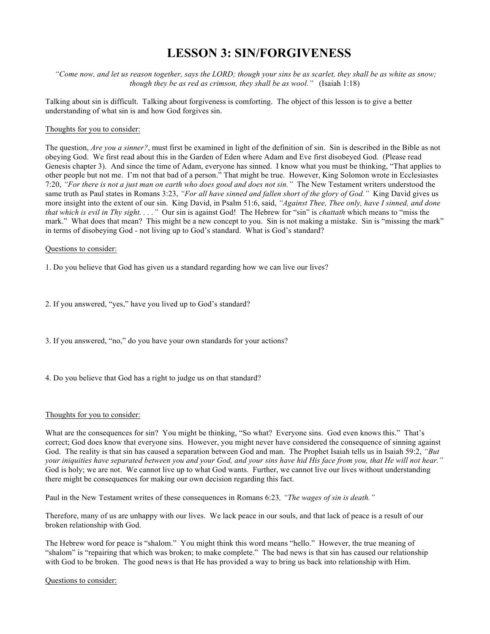# **LESSON 3: SIN/FORGIVENESS**

*"Come now, and let us reason together, says the LORD; though your sins be as scarlet, they shall be as white as snow; though they be as red as crimson, they shall be as wool."* (Isaiah 1:18)

Talking about sin is difficult. Talking about forgiveness is comforting. The object of this lesson is to give a better understanding of what sin is and how God forgives sin.

#### Thoughts for you to consider:

The question, *Are you a sinner?*, must first be examined in light of the definition of sin. Sin is described in the Bible as not obeying God. We first read about this in the Garden of Eden where Adam and Eve first disobeyed God. (Please read Genesis chapter 3). And since the time of Adam, everyone has sinned. I know what you must be thinking, "That applies to other people but not me. I'm not that bad of a person." That might be true. However, King Solomon wrote in Ecclesiastes 7:20, *"For there is not a just man on earth who does good and does not sin."* The New Testament writers understood the same truth as Paul states in Romans 3:23, *"For all have sinned and fallen short of the glory of God."* King David gives us more insight into the extent of our sin. King David, in Psalm 51:6, said, *"Against Thee, Thee only, have I sinned, and done that which is evil in Thy sight. . . ."* Our sin is against God! The Hebrew for "sin" is *chattath* which means to "miss the mark." What does that mean? This might be a new concept to you. Sin is not making a mistake. Sin is "missing the mark" in terms of disobeying God - not living up to God's standard. What is God's standard?

### Questions to consider:

1. Do you believe that God has given us a standard regarding how we can live our lives?

2. If you answered, "yes," have you lived up to God's standard?

3. If you answered, "no," do you have your own standards for your actions?

4. Do you believe that God has a right to judge us on that standard?

#### Thoughts for you to consider:

What are the consequences for sin? You might be thinking, "So what? Everyone sins. God even knows this." That's correct; God does know that everyone sins. However, you might never have considered the consequence of sinning against God. The reality is that sin has caused a separation between God and man. The Prophet Isaiah tells us in Isaiah 59:2, *"But your iniquities have separated between you and your God, and your sins have hid His face from you, that He will not hear."* God is holy; we are not. We cannot live up to what God wants. Further, we cannot live our lives without understanding there might be consequences for making our own decision regarding this fact.

Paul in the New Testament writes of these consequences in Romans 6:23*, "The wages of sin is death."*

Therefore, many of us are unhappy with our lives. We lack peace in our souls, and that lack of peace is a result of our broken relationship with God.

The Hebrew word for peace is "shalom." You might think this word means "hello." However, the true meaning of "shalom" is "repairing that which was broken; to make complete." The bad news is that sin has caused our relationship with God to be broken. The good news is that He has provided a way to bring us back into relationship with Him.

Questions to consider: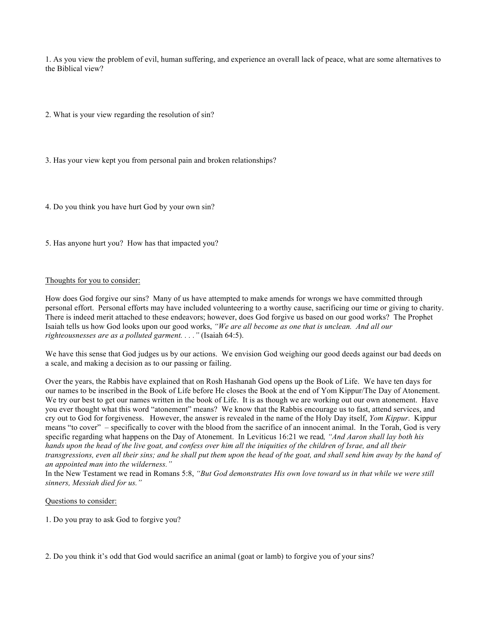1. As you view the problem of evil, human suffering, and experience an overall lack of peace, what are some alternatives to the Biblical view?

2. What is your view regarding the resolution of sin?

3. Has your view kept you from personal pain and broken relationships?

4. Do you think you have hurt God by your own sin?

5. Has anyone hurt you? How has that impacted you?

#### Thoughts for you to consider:

How does God forgive our sins? Many of us have attempted to make amends for wrongs we have committed through personal effort. Personal efforts may have included volunteering to a worthy cause, sacrificing our time or giving to charity. There is indeed merit attached to these endeavors; however, does God forgive us based on our good works? The Prophet Isaiah tells us how God looks upon our good works, *"We are all become as one that is unclean. And all our righteousnesses are as a polluted garment. . . ."* (Isaiah 64:5).

We have this sense that God judges us by our actions. We envision God weighing our good deeds against our bad deeds on a scale, and making a decision as to our passing or failing.

Over the years, the Rabbis have explained that on Rosh Hashanah God opens up the Book of Life. We have ten days for our names to be inscribed in the Book of Life before He closes the Book at the end of Yom Kippur/The Day of Atonement. We try our best to get our names written in the book of Life. It is as though we are working out our own atonement. Have you ever thought what this word "atonement" means? We know that the Rabbis encourage us to fast, attend services, and cry out to God for forgiveness. However, the answer is revealed in the name of the Holy Day itself, *Yom Kippur*. Kippur means "to cover" – specifically to cover with the blood from the sacrifice of an innocent animal. In the Torah, God is very specific regarding what happens on the Day of Atonement. In Leviticus 16:21 we read*, "And Aaron shall lay both his hands upon the head of the live goat, and confess over him all the iniquities of the children of Israe, and all their transgressions, even all their sins; and he shall put them upon the head of the goat, and shall send him away by the hand of an appointed man into the wilderness."*

In the New Testament we read in Romans 5:8, *"But God demonstrates His own love toward us in that while we were still sinners, Messiah died for us."*

## Questions to consider:

1. Do you pray to ask God to forgive you?

2. Do you think it's odd that God would sacrifice an animal (goat or lamb) to forgive you of your sins?